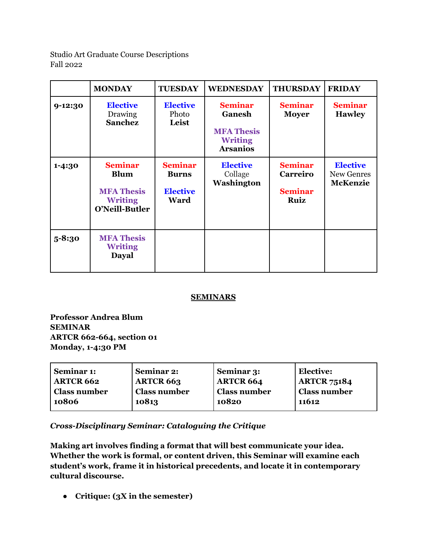Studio Art Graduate Course Descriptions Fall 2022

|             | <b>MONDAY</b>                                                                          | <b>TUESDAY</b>                                                   | <b>WEDNESDAY</b>                                                                   | <b>THURSDAY</b>                                             | <b>FRIDAY</b>                                           |
|-------------|----------------------------------------------------------------------------------------|------------------------------------------------------------------|------------------------------------------------------------------------------------|-------------------------------------------------------------|---------------------------------------------------------|
| $9 - 12:30$ | <b>Elective</b><br>Drawing<br><b>Sanchez</b>                                           | <b>Elective</b><br>Photo<br>Leist                                | <b>Seminar</b><br>Ganesh<br><b>MFA Thesis</b><br><b>Writing</b><br><b>Arsanios</b> | <b>Seminar</b><br><b>Moyer</b>                              | <b>Seminar</b><br><b>Hawley</b>                         |
| $1 - 4:30$  | <b>Seminar</b><br><b>Blum</b><br><b>MFA Thesis</b><br><b>Writing</b><br>O'Neill-Butler | <b>Seminar</b><br><b>Burns</b><br><b>Elective</b><br><b>Ward</b> | <b>Elective</b><br>Collage<br>Washington                                           | <b>Seminar</b><br><b>Carreiro</b><br><b>Seminar</b><br>Ruiz | <b>Elective</b><br><b>New Genres</b><br><b>McKenzie</b> |
| $5 - 8:30$  | <b>MFA Thesis</b><br><b>Writing</b><br><b>Dayal</b>                                    |                                                                  |                                                                                    |                                                             |                                                         |

## **SEMINARS**

**Professor Andrea Blum SEMINAR ARTCR 662-664, section 01 Monday, 1-4:30 PM**

| Seminar 1:          | <b>Seminar 2:</b>   | Seminar 3:       | Elective:           |
|---------------------|---------------------|------------------|---------------------|
| <b>ARTCR 662</b>    | <b>ARTCR 663</b>    | <b>ARTCR 664</b> | <b>ARTCR 75184</b>  |
| <b>Class number</b> | <b>Class number</b> | ' Class number   | <b>Class number</b> |
| 10806               | 10813               | 10820            | 11612               |

*Cross-Disciplinary Seminar: Cataloguing the Critique*

**Making art involves finding a format that will best communicate your idea. Whether the work is formal, or content driven, this Seminar will examine each student's work, frame it in historical precedents, and locate it in contemporary cultural discourse.**

● **Critique: (3X in the semester)**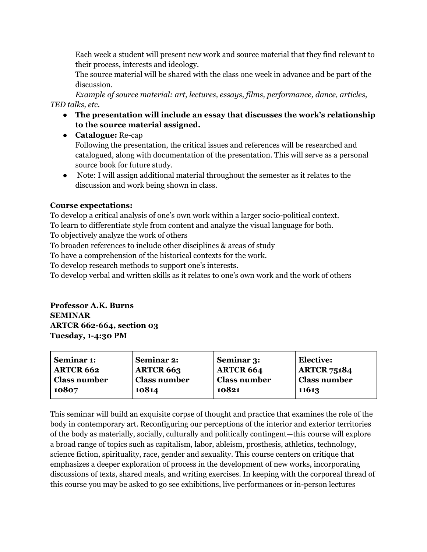Each week a student will present new work and source material that they find relevant to their process, interests and ideology.

The source material will be shared with the class one week in advance and be part of the discussion.

*Example of source material: art, lectures, essays, films, performance, dance, articles, TED talks, etc.*

- **● The presentation will include an essay that discusses the work's relationship to the source material assigned.**
- **Catalogue:** Re-cap Following the presentation, the critical issues and references will be researched and catalogued, along with documentation of the presentation. This will serve as a personal source book for future study.
- Note: I will assign additional material throughout the semester as it relates to the discussion and work being shown in class.

## **Course expectations:**

To develop a critical analysis of one's own work within a larger socio-political context. To learn to differentiate style from content and analyze the visual language for both. To objectively analyze the work of others

To broaden references to include other disciplines & areas of study

To have a comprehension of the historical contexts for the work.

To develop research methods to support one's interests.

To develop verbal and written skills as it relates to one's own work and the work of others

**Professor A.K. Burns SEMINAR ARTCR 662-664, section 03 Tuesday, 1-4:30 PM**

| Seminar 1:       | Seminar 2:          | Seminar 3:          | <b>Elective:</b>    |
|------------------|---------------------|---------------------|---------------------|
| <b>ARTCR 662</b> | <b>ARTCR 663</b>    | <b>ARTCR 664</b>    | <b>ARTCR 75184</b>  |
| Class number     | <b>Class number</b> | <b>Class number</b> | <b>Class number</b> |
| 10807            | 10814               | 10821               | 11613               |

This seminar will build an exquisite corpse of thought and practice that examines the role of the body in contemporary art. Reconfiguring our perceptions of the interior and exterior territories of the body as materially, socially, culturally and politically contingent—this course will explore a broad range of topics such as capitalism, labor, ableism, prosthesis, athletics, technology, science fiction, spirituality, race, gender and sexuality. This course centers on critique that emphasizes a deeper exploration of process in the development of new works, incorporating discussions of texts, shared meals, and writing exercises. In keeping with the corporeal thread of this course you may be asked to go see exhibitions, live performances or in-person lectures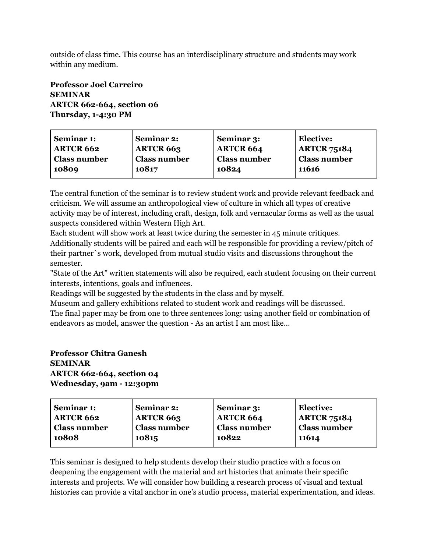outside of class time. This course has an interdisciplinary structure and students may work within any medium.

## **Professor Joel Carreiro SEMINAR ARTCR 662-664, section 06 Thursday, 1-4:30 PM**

The central function of the seminar is to review student work and provide relevant feedback and criticism. We will assume an anthropological view of culture in which all types of creative activity may be of interest, including craft, design, folk and vernacular forms as well as the usual suspects considered within Western High Art.

Each student will show work at least twice during the semester in 45 minute critiques. Additionally students will be paired and each will be responsible for providing a review/pitch of their partner`s work, developed from mutual studio visits and discussions throughout the semester.

"State of the Art" written statements will also be required, each student focusing on their current interests, intentions, goals and influences.

Readings will be suggested by the students in the class and by myself.

Museum and gallery exhibitions related to student work and readings will be discussed. The final paper may be from one to three sentences long: using another field or combination of endeavors as model, answer the question - As an artist I am most like…

## **Professor Chitra Ganesh SEMINAR ARTCR 662-664, section 04**

**Wednesday, 9am - 12:30pm**

| Seminar 1:       | <b>Seminar 2:</b>   | Seminar 3:       | <b>Elective:</b>    |
|------------------|---------------------|------------------|---------------------|
| <b>ARTCR 662</b> | <b>ARTCR 663</b>    | <b>ARTCR 664</b> | <b>ARTCR 75184</b>  |
| Class number     | <b>Class number</b> | ' Class number   | <b>Class number</b> |
| 10808            | 10815               | 10822            | 11614               |

This seminar is designed to help students develop their studio practice with a focus on deepening the engagement with the material and art histories that animate their specific interests and projects. We will consider how building a research process of visual and textual histories can provide a vital anchor in one's studio process, material experimentation, and ideas.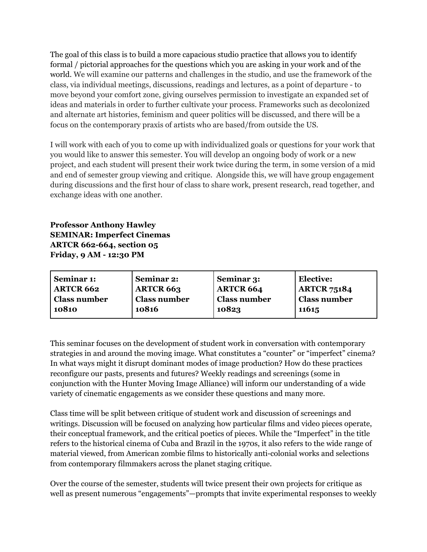The goal of this class is to build a more capacious studio practice that allows you to identify formal / pictorial approaches for the questions which you are asking in your work and of the world. We will examine our patterns and challenges in the studio, and use the framework of the class, via individual meetings, discussions, readings and lectures, as a point of departure - to move beyond your comfort zone, giving ourselves permission to investigate an expanded set of ideas and materials in order to further cultivate your process. Frameworks such as decolonized and alternate art histories, feminism and queer politics will be discussed, and there will be a focus on the contemporary praxis of artists who are based/from outside the US.

I will work with each of you to come up with individualized goals or questions for your work that you would like to answer this semester. You will develop an ongoing body of work or a new project, and each student will present their work twice during the term, in some version of a mid and end of semester group viewing and critique. Alongside this, we will have group engagement during discussions and the first hour of class to share work, present research, read together, and exchange ideas with one another.

**Professor Anthony Hawley SEMINAR: Imperfect Cinemas ARTCR 662-664, section 05 Friday, 9 AM - 12:30 PM**

| Seminar 1:          | Seminar 2:          | Seminar 3:       | Elective:           |
|---------------------|---------------------|------------------|---------------------|
| <b>ARTCR 662</b>    | <b>ARTCR 663</b>    | <b>ARTCR 664</b> | <b>ARTCR 75184</b>  |
| <b>Class number</b> | <b>Class number</b> | 'Class number    | <b>Class number</b> |
| 10810               | 10816               | 10823            | 11615               |

This seminar focuses on the development of student work in conversation with contemporary strategies in and around the moving image. What constitutes a "counter" or "imperfect" cinema? In what ways might it disrupt dominant modes of image production? How do these practices reconfigure our pasts, presents and futures? Weekly readings and screenings (some in conjunction with the Hunter Moving Image Alliance) will inform our understanding of a wide variety of cinematic engagements as we consider these questions and many more.

Class time will be split between critique of student work and discussion of screenings and writings. Discussion will be focused on analyzing how particular films and video pieces operate, their conceptual framework, and the critical poetics of pieces. While the "Imperfect" in the title refers to the historical cinema of Cuba and Brazil in the 1970s, it also refers to the wide range of material viewed, from American zombie films to historically anti-colonial works and selections from contemporary filmmakers across the planet staging critique.

Over the course of the semester, students will twice present their own projects for critique as well as present numerous "engagements"—prompts that invite experimental responses to weekly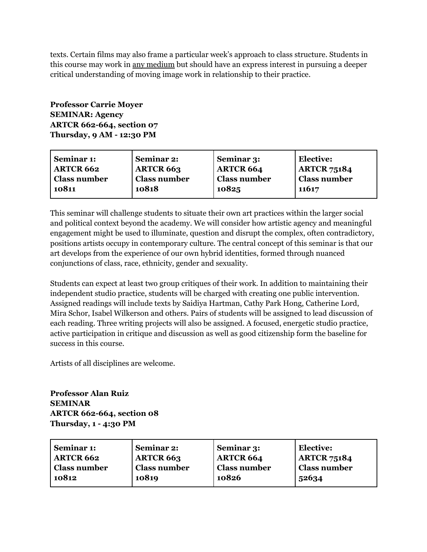texts. Certain films may also frame a particular week's approach to class structure. Students in this course may work in any medium but should have an express interest in pursuing a deeper critical understanding of moving image work in relationship to their practice.

**Professor Carrie Moyer SEMINAR: Agency ARTCR 662-664, section 07 Thursday, 9 AM - 12:30 PM**

| Seminar 2:          | Seminar 3: | <b>Elective:</b>                        |
|---------------------|------------|-----------------------------------------|
| <b>ARTCR 663</b>    |            | <b>ARTCR 75184</b>                      |
| <b>Class number</b> |            | <sup>l</sup> Class number               |
| 10818               | 10825      | 11617                                   |
|                     |            | <b>ARTCR 664</b><br><b>Class number</b> |

This seminar will challenge students to situate their own art practices within the larger social and political context beyond the academy. We will consider how artistic agency and meaningful engagement might be used to illuminate, question and disrupt the complex, often contradictory, positions artists occupy in contemporary culture. The central concept of this seminar is that our art develops from the experience of our own hybrid identities, formed through nuanced conjunctions of class, race, ethnicity, gender and sexuality.

Students can expect at least two group critiques of their work. In addition to maintaining their independent studio practice, students will be charged with creating one public intervention. Assigned readings will include texts by Saidiya Hartman, Cathy Park Hong, Catherine Lord, Mira Schor, Isabel Wilkerson and others. Pairs of students will be assigned to lead discussion of each reading. Three writing projects will also be assigned. A focused, energetic studio practice, active participation in critique and discussion as well as good citizenship form the baseline for success in this course.

Artists of all disciplines are welcome.

**Professor Alan Ruiz SEMINAR ARTCR 662-664, section 08 Thursday, 1 - 4:30 PM**

| Seminar 1:       | Seminar 2:          | Seminar 3:          | <b>Elective:</b>    |
|------------------|---------------------|---------------------|---------------------|
| <b>ARTCR 662</b> | <b>ARTCR 663</b>    | <b>ARTCR 664</b>    | <b>ARTCR 75184</b>  |
| Class number     | <b>Class number</b> | <b>Class number</b> | <b>Class number</b> |
| 10812            | 10819               | 10826               | 52634               |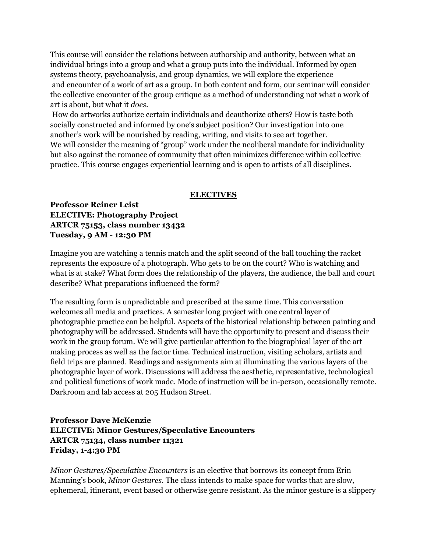This course will consider the relations between authorship and authority, between what an individual brings into a group and what a group puts into the individual. Informed by open systems theory, psychoanalysis, and group dynamics, we will explore the experience and encounter of a work of art as a group. In both content and form, our seminar will consider the collective encounter of the group critique as a method of understanding not what a work of art is about, but what it *does*.

How do artworks authorize certain individuals and deauthorize others? How is taste both socially constructed and informed by one's subject position? Our investigation into one another's work will be nourished by reading, writing, and visits to see art together. We will consider the meaning of "group" work under the neoliberal mandate for individuality but also against the romance of community that often minimizes difference within collective practice. This course engages experiential learning and is open to artists of all disciplines.

#### **ELECTIVES**

**Professor Reiner Leist ELECTIVE: Photography Project ARTCR 75153, class number 13432 Tuesday, 9 AM - 12:30 PM**

Imagine you are watching a tennis match and the split second of the ball touching the racket represents the exposure of a photograph. Who gets to be on the court? Who is watching and what is at stake? What form does the relationship of the players, the audience, the ball and court describe? What preparations influenced the form?

The resulting form is unpredictable and prescribed at the same time. This conversation welcomes all media and practices. A semester long project with one central layer of photographic practice can be helpful. Aspects of the historical relationship between painting and photography will be addressed. Students will have the opportunity to present and discuss their work in the group forum. We will give particular attention to the biographical layer of the art making process as well as the factor time. Technical instruction, visiting scholars, artists and field trips are planned. Readings and assignments aim at illuminating the various layers of the photographic layer of work. Discussions will address the aesthetic, representative, technological and political functions of work made. Mode of instruction will be in-person, occasionally remote. Darkroom and lab access at 205 Hudson Street.

## **Professor Dave McKenzie ELECTIVE: Minor Gestures/Speculative Encounters ARTCR 75134, class number 11321 Friday, 1-4:30 PM**

*Minor Gestures/Speculative Encounters* is an elective that borrows its concept from Erin Manning's book, *Minor Gestures.* The class intends to make space for works that are slow, ephemeral, itinerant, event based or otherwise genre resistant. As the minor gesture is a slippery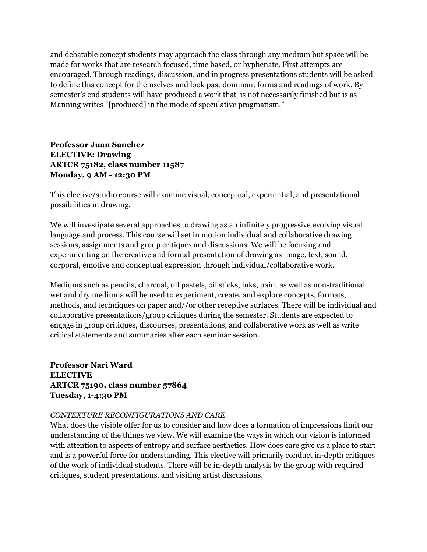and debatable concept students may approach the class through any medium but space will be made for works that are research focused, time based, or hyphenate. First attempts are encouraged. Through readings, discussion, and in progress presentations students will be asked to define this concept for themselves and look past dominant forms and readings of work. By semester's end students will have produced a work that is not necessarily finished but is as Manning writes "[produced] in the mode of speculative pragmatism."

**Professor Juan Sanchez ELECTIVE: Drawing ARTCR 75182, class number 11587 Monday, 9 AM - 12:30 PM**

This elective/studio course will examine visual, conceptual, experiential, and presentational possibilities in drawing.

We will investigate several approaches to drawing as an infinitely progressive evolving visual language and process. This course will set in motion individual and collaborative drawing sessions, assignments and group critiques and discussions. We will be focusing and experimenting on the creative and formal presentation of drawing as image, text, sound, corporal, emotive and conceptual expression through individual/collaborative work.

Mediums such as pencils, charcoal, oil pastels, oil sticks, inks, paint as well as non-traditional wet and dry mediums will be used to experiment, create, and explore concepts, formats, methods, and techniques on paper and//or other receptive surfaces. There will be individual and collaborative presentations/group critiques during the semester. Students are expected to engage in group critiques, discourses, presentations, and collaborative work as well as write critical statements and summaries after each seminar session.

**Professor Nari Ward ELECTIVE ARTCR 75190, class number 57864 Tuesday, 1-4:30 PM**

#### *CONTEXTURE RECONFIGURATIONS AND CARE*

What does the visible offer for us to consider and how does a formation of impressions limit our understanding of the things we view. We will examine the ways in which our vision is informed with attention to aspects of entropy and surface aesthetics. How does care give us a place to start and is a powerful force for understanding. This elective will primarily conduct in-depth critiques of the work of individual students. There will be in-depth analysis by the group with required critiques, student presentations, and visiting artist discussions.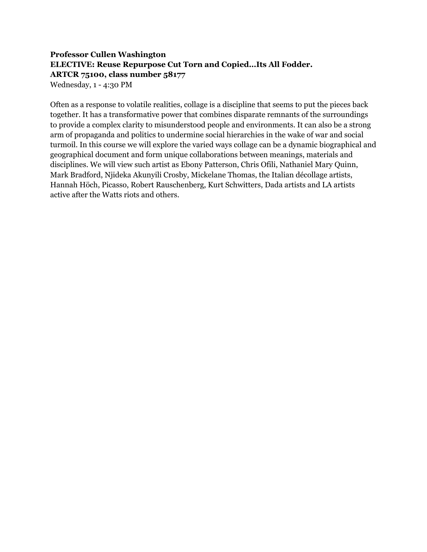# **Professor Cullen Washington ELECTIVE: Reuse Repurpose Cut Torn and Copied…Its All Fodder. ARTCR 75100, class number 58177**

Wednesday, 1 - 4:30 PM

Often as a response to volatile realities, collage is a discipline that seems to put the pieces back together. It has a transformative power that combines disparate remnants of the surroundings to provide a complex clarity to misunderstood people and environments. It can also be a strong arm of propaganda and politics to undermine social hierarchies in the wake of war and social turmoil. In this course we will explore the varied ways collage can be a dynamic biographical and geographical document and form unique collaborations between meanings, materials and disciplines. We will view such artist as Ebony Patterson, Chris Ofili, Nathaniel Mary Quinn, Mark Bradford, Njideka Akunyili Crosby, Mickelane Thomas, the Italian décollage artists, Hannah Höch, Picasso, Robert Rauschenberg, Kurt Schwitters, Dada artists and LA artists active after the Watts riots and others.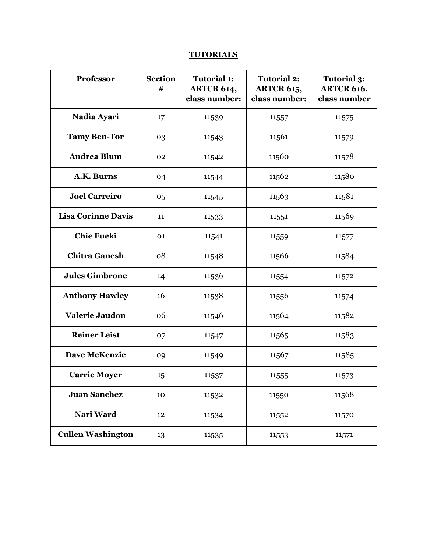## **TUTORIALS**

| Professor                 | <b>Section</b><br># | <b>Tutorial 1:</b><br>ARTCR 614,<br>class number: | <b>Tutorial 2:</b><br><b>ARTCR 615,</b><br>class number: | <b>Tutorial 3:</b><br><b>ARTCR 616,</b><br>class number |
|---------------------------|---------------------|---------------------------------------------------|----------------------------------------------------------|---------------------------------------------------------|
| Nadia Ayari               | 17                  | 11539                                             | 11557                                                    | 11575                                                   |
| <b>Tamy Ben-Tor</b>       | 03                  | 11543                                             | 11561                                                    | 11579                                                   |
| <b>Andrea Blum</b>        | 02                  | 11542                                             | 11560                                                    | 11578                                                   |
| A.K. Burns                | 04                  | 11544                                             | 11562                                                    | 11580                                                   |
| <b>Joel Carreiro</b>      | 05                  | 11545                                             | 11563                                                    | 11581                                                   |
| <b>Lisa Corinne Davis</b> | 11                  | 11533                                             | 11551                                                    | 11569                                                   |
| <b>Chie Fueki</b>         | 01                  | 11541                                             | 11559                                                    | 11577                                                   |
| <b>Chitra Ganesh</b>      | 08                  | 11548                                             | 11566                                                    | 11584                                                   |
| <b>Jules Gimbrone</b>     | 14                  | 11536                                             | 11554                                                    | 11572                                                   |
| <b>Anthony Hawley</b>     | 16                  | 11538                                             | 11556                                                    | 11574                                                   |
| Valerie Jaudon            | 06                  | 11546                                             | 11564                                                    | 11582                                                   |
| <b>Reiner Leist</b>       | 07                  | 11547                                             | 11565                                                    | 11583                                                   |
| <b>Dave McKenzie</b>      | 09                  | 11549                                             | 11567                                                    | 11585                                                   |
| <b>Carrie Moyer</b>       | 15                  | 11537                                             | 11555                                                    | 11573                                                   |
| <b>Juan Sanchez</b>       | 10                  | 11532                                             | 11550                                                    | 11568                                                   |
| Nari Ward                 | 12                  | 11534                                             | 11552                                                    | 11570                                                   |
| <b>Cullen Washington</b>  | 13                  | 11535                                             | 11553                                                    | 11571                                                   |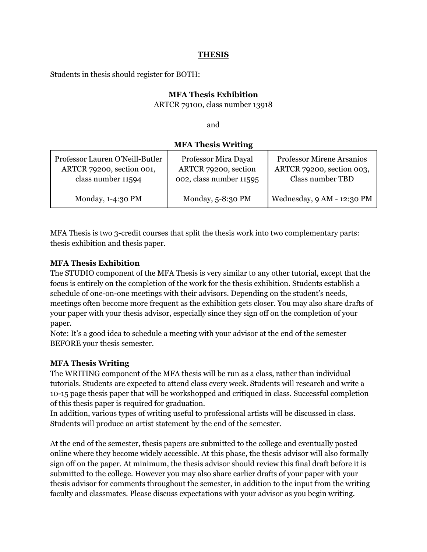#### **THESIS**

Students in thesis should register for BOTH:

## **MFA Thesis Exhibition**

ARTCR 79100, class number 13918

and

## **MFA Thesis Writing**

| Professor Lauren O'Neill-Butler | Professor Mira Dayal    | <b>Professor Mirene Arsanios</b> |
|---------------------------------|-------------------------|----------------------------------|
| ARTCR 79200, section 001,       | ARTCR 79200, section    | ARTCR 79200, section 003,        |
| class number 11594              | 002, class number 11595 | <b>Class number TBD</b>          |
| Monday, 1-4:30 PM               | Monday, 5-8:30 PM       | Wednesday, 9 AM - 12:30 PM       |

MFA Thesis is two 3-credit courses that split the thesis work into two complementary parts: thesis exhibition and thesis paper.

## **MFA Thesis Exhibition**

The STUDIO component of the MFA Thesis is very similar to any other tutorial, except that the focus is entirely on the completion of the work for the thesis exhibition. Students establish a schedule of one-on-one meetings with their advisors. Depending on the student's needs, meetings often become more frequent as the exhibition gets closer. You may also share drafts of your paper with your thesis advisor, especially since they sign off on the completion of your paper.

Note: It's a good idea to schedule a meeting with your advisor at the end of the semester BEFORE your thesis semester.

## **MFA Thesis Writing**

The WRITING component of the MFA thesis will be run as a class, rather than individual tutorials. Students are expected to attend class every week. Students will research and write a 10-15 page thesis paper that will be workshopped and critiqued in class. Successful completion of this thesis paper is required for graduation.

In addition, various types of writing useful to professional artists will be discussed in class. Students will produce an artist statement by the end of the semester.

At the end of the semester, thesis papers are submitted to the college and eventually posted online where they become widely accessible. At this phase, the thesis advisor will also formally sign off on the paper. At minimum, the thesis advisor should review this final draft before it is submitted to the college. However you may also share earlier drafts of your paper with your thesis advisor for comments throughout the semester, in addition to the input from the writing faculty and classmates. Please discuss expectations with your advisor as you begin writing.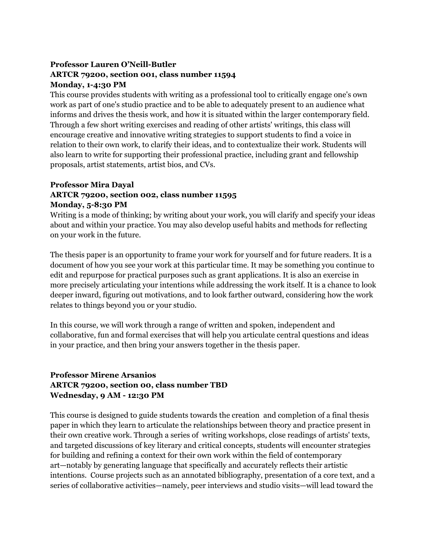## **Professor Lauren O'Neill-Butler ARTCR 79200, section 001, class number 11594 Monday, 1-4:30 PM**

This course provides students with writing as a professional tool to critically engage one's own work as part of one's studio practice and to be able to adequately present to an audience what informs and drives the thesis work, and how it is situated within the larger contemporary field. Through a few short writing exercises and reading of other artists' writings, this class will encourage creative and innovative writing strategies to support students to find a voice in relation to their own work, to clarify their ideas, and to contextualize their work. Students will also learn to write for supporting their professional practice, including grant and fellowship proposals, artist statements, artist bios, and CVs.

## **Professor Mira Dayal ARTCR 79200, section 002, class number 11595 Monday, 5-8:30 PM**

Writing is a mode of thinking; by writing about your work, you will clarify and specify your ideas about and within your practice. You may also develop useful habits and methods for reflecting on your work in the future.

The thesis paper is an opportunity to frame your work for yourself and for future readers. It is a document of how you see your work at this particular time. It may be something you continue to edit and repurpose for practical purposes such as grant applications. It is also an exercise in more precisely articulating your intentions while addressing the work itself. It is a chance to look deeper inward, figuring out motivations, and to look farther outward, considering how the work relates to things beyond you or your studio.

In this course, we will work through a range of written and spoken, independent and collaborative, fun and formal exercises that will help you articulate central questions and ideas in your practice, and then bring your answers together in the thesis paper.

## **Professor Mirene Arsanios ARTCR 79200, section 00, class number TBD Wednesday, 9 AM - 12:30 PM**

This course is designed to guide students towards the creation and completion of a final thesis paper in which they learn to articulate the relationships between theory and practice present in their own creative work. Through a series of writing workshops, close readings of artists' texts, and targeted discussions of key literary and critical concepts, students will encounter strategies for building and refining a context for their own work within the field of contemporary art—notably by generating language that specifically and accurately reflects their artistic intentions. Course projects such as an annotated bibliography, presentation of a core text, and a series of collaborative activities—namely, peer interviews and studio visits—will lead toward the